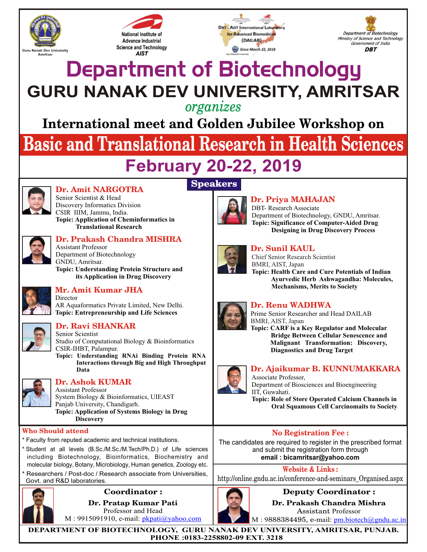





Department of Biotechnology Ministry of Science and Technology Government of India **DBT** 

# Department of Biotechnology **GURU NANAK DEV UNIVERSITY, AMRITSAR**

## *organizes*

**International meet and Golden Jubilee Workshop on**

# **Basic and Translational Research in Health Sciences**

# **February 20-22, 2019**

**Speakers**



# **Dr. Amit NARGOTRA**

Senior Scientist & Head Discovery Informatics Division CSIR IIIM, Jammu, India. **Topic: Application of Cheminformatics in Translational Research**



# **Dr. Prakash Chandra MISHRA**

Assistant Professor Department of Biotechnology GNDU, Amritsar. **Topic: Understanding Protein Structure and its Application in Drug Discovery**



## **Mr. Amit Kumar JHA**

Director AR Aquaformatics Private Limited, New Delhi. **Topic: Entrepreneurship and Life Sciences**



#### **Dr. Ravi SHANKAR**

Senior Scientist Studio of Computational Biology & Bioinformatics CSIR-IHBT, Palampur.

**Topic: Understanding RNAi Binding Protein RNA Interactions through Big and High Throughput Data**



### **Dr. Ashok KUMAR**

Assistant Professor System Biology & Bioinformatics, UIEAST Panjab University, Chandigarh. **Topic: Application of Systems Biology in Drug Discovery**

#### **Who Should attend**

- *\* Faculty from reputed academic and technical institutions.*
- *\* Student at all levels (B.Sc./M.Sc./M.Tech/Ph.D.) of Life sciences including Biotechnology, Bioinformatics, Biochemistry and molecular biology, Botany,Microbiology, Human genetics, Zoology etc.*
- *\* Researchers / Post-doc / Research associate from Universities, Govt. and R&D laboratories.*



#### **Coordinator : Dr. Pratap Kumar Pati** Professor and Head

M : 9915091910, e-mail: pkpati@yahoo.com



# **Dr. Priya MAHAJAN**

DBT- Research Associate Department of Biotechnology, GNDU, Amritsar. **Topic: Significance of Computer-Aided Drug Designing in Drug Discovery Process**



#### **Dr. Sunil KAUL**

Chief Senior Research Scientist BMRI, AIST, Japan

**Topic: Health Care and Cure Potentials of Indian Ayurvedic Herb Ashwagandha: Molecules, Mechanisms, Merits to Society**



#### **Dr. Renu WADHWA**

Prime Senior Researcher and Head DAILAB BMRI, AIST, Japan

**Topic: CARF is a Key Regulator and Molecular Bridge Between Cellular Senescence and Malignant Transformation: Discovery, Diagnostics and Drug Target**



#### **Dr. Ajaikumar B. KUNNUMAKKARA**

Associate Professor, Department of Biosciences and Bioengineering IIT, Guwahati.

**Topic: Role of Store Operated Calcium Channels in Oral Squamous Cell Carcinomaits to Society**

#### **No Registration Fee :**

The candidates are required to register in the prescribed format and submit the registration form through **email : bicamritsar@yahoo.com**

**Website & Links :**

http://online.gndu.ac.in/conference-and-seminars\_Organised.aspx



**Dr. Prakash Chandra Mishra** Assistant Professor

M: 9888384495, e-mail: pm.biotech@gndu.ac.in

**DEPARTMENT OF BIOTECHNOLOGY, GURU NANAK DEV UNIVERSITY, AMRITSAR, PUNJAB. PHONE :0183-2258802-09 EXT. 3218**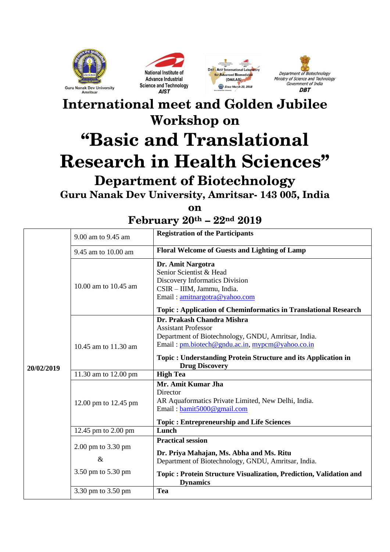







# **International meet and Golden Jubilee Workshop on "Basic and Translational Research in Health Sciences" Department of Biotechnology**

**Guru Nanak Dev University, Amritsar- 143 005, India**

**on**

**February 20th – 22nd 2019**

| 20/02/2019 | 9.00 am to 9.45 am     | <b>Registration of the Participants</b>                                                                                                                                                                                                                      |
|------------|------------------------|--------------------------------------------------------------------------------------------------------------------------------------------------------------------------------------------------------------------------------------------------------------|
|            | 9.45 am to 10.00 am    | Floral Welcome of Guests and Lighting of Lamp                                                                                                                                                                                                                |
|            | 10.00 am to $10.45$ am | Dr. Amit Nargotra<br>Senior Scientist & Head<br>Discovery Informatics Division<br>CSIR - IIIM, Jammu, India.<br>Email: amitnargotra@yahoo.com<br><b>Topic: Application of Cheminformatics in Translational Research</b>                                      |
|            | 10.45 am to 11.30 am   | Dr. Prakash Chandra Mishra<br><b>Assistant Professor</b><br>Department of Biotechnology, GNDU, Amritsar, India.<br>Email: pm.biotech@gndu.ac.in, mypcm@yahoo.co.in<br>Topic: Understanding Protein Structure and its Application in<br><b>Drug Discovery</b> |
|            | 11.30 am to 12.00 pm   | <b>High Tea</b>                                                                                                                                                                                                                                              |
|            | 12.00 pm to 12.45 pm   | Mr. Amit Kumar Jha<br>Director<br>AR Aquaformatics Private Limited, New Delhi, India.<br>Email: bamit5000@gmail.com                                                                                                                                          |
|            |                        | <b>Topic: Entrepreneurship and Life Sciences</b>                                                                                                                                                                                                             |
|            | 12.45 pm to 2.00 pm    | Lunch                                                                                                                                                                                                                                                        |
|            | 2.00 pm to 3.30 pm     | <b>Practical session</b><br>Dr. Priya Mahajan, Ms. Abha and Ms. Ritu                                                                                                                                                                                         |
|            | $\&$                   | Department of Biotechnology, GNDU, Amritsar, India.                                                                                                                                                                                                          |
|            | 3.50 pm to 5.30 pm     | Topic: Protein Structure Visualization, Prediction, Validation and<br><b>Dynamics</b>                                                                                                                                                                        |
|            | 3.30 pm to 3.50 pm     | Tea                                                                                                                                                                                                                                                          |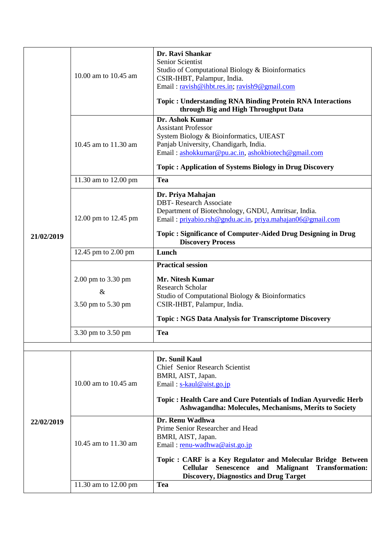|            | 10.00 am to 10.45 am                             | Dr. Ravi Shankar<br>Senior Scientist<br>Studio of Computational Biology & Bioinformatics<br>CSIR-IHBT, Palampur, India.<br>Email: ravish@ihbt.res.in; ravish9@gmail.com<br><b>Topic: Understanding RNA Binding Protein RNA Interactions</b><br>through Big and High Throughput Data                                            |
|------------|--------------------------------------------------|--------------------------------------------------------------------------------------------------------------------------------------------------------------------------------------------------------------------------------------------------------------------------------------------------------------------------------|
|            | 10.45 am to 11.30 am                             | Dr. Ashok Kumar<br><b>Assistant Professor</b><br>System Biology & Bioinformatics, UIEAST<br>Panjab University, Chandigarh, India.<br>Email: ashokkumar@pu.ac.in, ashokbiotech@gmail.com<br><b>Topic: Application of Systems Biology in Drug Discovery</b>                                                                      |
|            | 11.30 am to 12.00 pm                             | <b>Tea</b>                                                                                                                                                                                                                                                                                                                     |
|            | 12.00 pm to 12.45 pm                             | Dr. Priya Mahajan<br><b>DBT-Research Associate</b><br>Department of Biotechnology, GNDU, Amritsar, India.<br>Email: privabio.rsh@gndu.ac.in, priva.mahajan06@gmail.com                                                                                                                                                         |
| 21/02/2019 |                                                  | Topic: Significance of Computer-Aided Drug Designing in Drug<br><b>Discovery Process</b>                                                                                                                                                                                                                                       |
|            | 12.45 pm to 2.00 pm                              | Lunch                                                                                                                                                                                                                                                                                                                          |
|            | 2.00 pm to 3.30 pm<br>$\&$<br>3.50 pm to 5.30 pm | <b>Practical session</b><br><b>Mr. Nitesh Kumar</b><br><b>Research Scholar</b><br>Studio of Computational Biology & Bioinformatics<br>CSIR-IHBT, Palampur, India.<br><b>Topic: NGS Data Analysis for Transcriptome Discovery</b>                                                                                               |
|            | 3.30 pm to 3.50 pm                               | Tea                                                                                                                                                                                                                                                                                                                            |
|            | 10.00 am to 10.45 am                             | Dr. Sunil Kaul<br><b>Chief Senior Research Scientist</b><br>BMRI, AIST, Japan.<br>Email: $s$ -kaul@aist.go.jp<br>Topic: Health Care and Cure Potentials of Indian Ayurvedic Herb<br>Ashwagandha: Molecules, Mechanisms, Merits to Society                                                                                      |
| 22/02/2019 | 10.45 am to 11.30 am<br>11.30 am to 12.00 pm     | Dr. Renu Wadhwa<br>Prime Senior Researcher and Head<br>BMRI, AIST, Japan.<br>Email: renu-wadhwa@aist.go.jp<br>Topic: CARF is a Key Regulator and Molecular Bridge Between<br><b>Malignant</b><br><b>Transformation:</b><br><b>Cellular</b><br><b>Senescence</b><br>and<br><b>Discovery, Diagnostics and Drug Target</b><br>Tea |
|            |                                                  |                                                                                                                                                                                                                                                                                                                                |